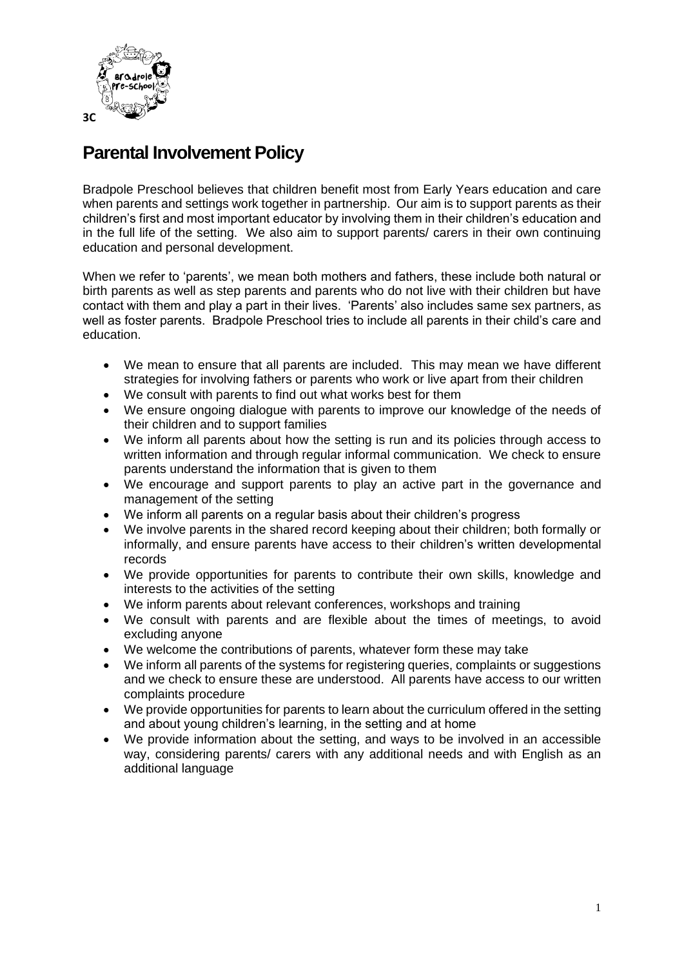

## **Parental Involvement Policy**

Bradpole Preschool believes that children benefit most from Early Years education and care when parents and settings work together in partnership. Our aim is to support parents as their children's first and most important educator by involving them in their children's education and in the full life of the setting. We also aim to support parents/ carers in their own continuing education and personal development.

When we refer to 'parents', we mean both mothers and fathers, these include both natural or birth parents as well as step parents and parents who do not live with their children but have contact with them and play a part in their lives. 'Parents' also includes same sex partners, as well as foster parents. Bradpole Preschool tries to include all parents in their child's care and education.

- We mean to ensure that all parents are included. This may mean we have different strategies for involving fathers or parents who work or live apart from their children
- We consult with parents to find out what works best for them
- We ensure ongoing dialogue with parents to improve our knowledge of the needs of their children and to support families
- We inform all parents about how the setting is run and its policies through access to written information and through regular informal communication. We check to ensure parents understand the information that is given to them
- We encourage and support parents to play an active part in the governance and management of the setting
- We inform all parents on a regular basis about their children's progress
- We involve parents in the shared record keeping about their children; both formally or informally, and ensure parents have access to their children's written developmental records
- We provide opportunities for parents to contribute their own skills, knowledge and interests to the activities of the setting
- We inform parents about relevant conferences, workshops and training
- We consult with parents and are flexible about the times of meetings, to avoid excluding anyone
- We welcome the contributions of parents, whatever form these may take
- We inform all parents of the systems for registering queries, complaints or suggestions and we check to ensure these are understood. All parents have access to our written complaints procedure
- We provide opportunities for parents to learn about the curriculum offered in the setting and about young children's learning, in the setting and at home
- We provide information about the setting, and ways to be involved in an accessible way, considering parents/ carers with any additional needs and with English as an additional language